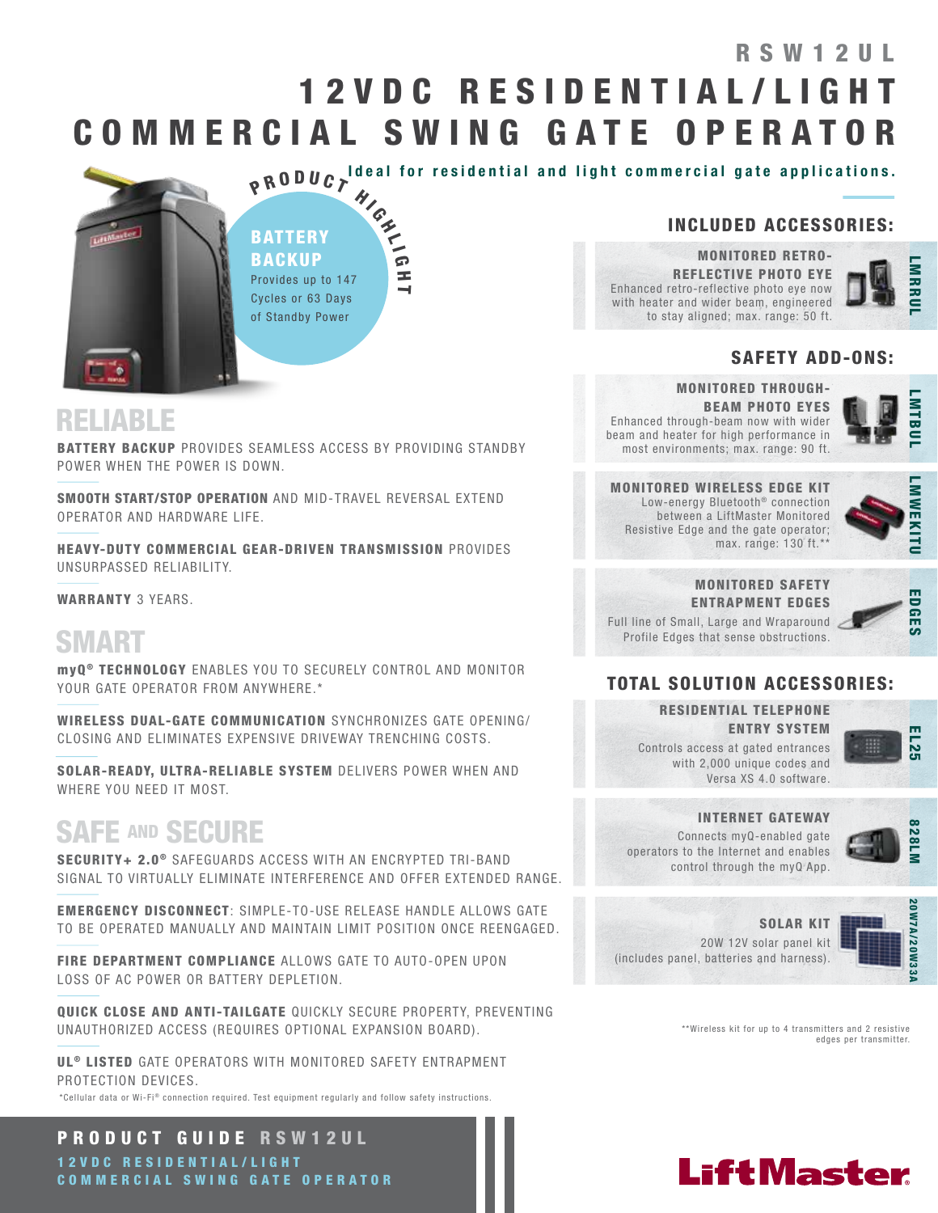# 1 2 V D C R E S I D E N T I A L / L I G H T COMMERCIAL SWING GATE OPERATOR RSW12UL



Ideal for residential and light commercial gate applications.

### INCLUDED ACCESSORIES:

MONITORED RETRO-REFLECTIVE PHOTO EYE Enhanced retro-reflective photo eye now with heater and wider beam, engineered to stay aligned; max. range: 50 ft.



**MTBU** 

### SAFETY ADD-ONS:

### RELIABLE

BATTERY BACKUP PROVIDES SEAMLESS ACCESS BY PROVIDING STANDBY POWER WHEN THE POWER IS DOWN.

SMOOTH START/STOP OPERATION AND MID-TRAVEL REVERSAL EXTEND OPERATOR AND HARDWARE LIFE.

HEAVY-DUTY COMMERCIAL GEAR-DRIVEN TRANSMISSION PROVIDES UNSURPASSED RELIABILITY.

WARRANTY 3 YEARS.

# SMART

myQ ® TECHNOLOGY ENABLES YOU TO SECURELY CONTROL AND MONITOR YOUR GATE OPERATOR FROM ANYWHERE.\*

WIRELESS DUAL-GATE COMMUNICATION SYNCHRONIZES GATE OPENING/ CLOSING AND ELIMINATES EXPENSIVE DRIVEWAY TRENCHING COSTS.

SOLAR-READY, ULTRA-RELIABLE SYSTEM DELIVERS POWER WHEN AND WHERE YOU NEED IT MOST.

# SAFE AND SECURE

SECURITY+ 2.0<sup>®</sup> SAFEGUARDS ACCESS WITH AN ENCRYPTED TRI-BAND SIGNAL TO VIRTUALLY ELIMINATE INTERFERENCE AND OFFER EXTENDED RANGE.

EMERGENCY DISCONNECT: SIMPLE-TO-USE RELEASE HANDLE ALLOWS GATE TO BE OPERATED MANUALLY AND MAINTAIN LIMIT POSITION ONCE REENGAGED.

FIRE DEPARTMENT COMPLIANCE ALLOWS GATE TO AUTO-OPEN UPON LOSS OF AC POWER OR BATTERY DEPLETION.

QUICK CLOSE AND ANTI-TAILGATE QUICKLY SECURE PROPERTY, PREVENTING UNAUTHORIZED ACCESS (REQUIRES OPTIONAL EXPANSION BOARD).

UL<sup>®</sup> LISTED GATE OPERATORS WITH MONITORED SAFETY ENTRAPMENT PROTECTION DEVICES.

 $^*$ Cellular data or Wi-Fi® connection required. Test equipment regularly and follow safety instructions.

PRODUCT GUIDE RSW12UL 1 2 V D C R E S I D E N T I A L / L I G H T COMMERCIAL SWING GATE OPERATOR

MONITORED THROUGH-BEAM PHOTO EYES Enhanced through-beam now with wider beam and heater for high performance in most environments; max. range: 90 ft.

MONITORED WIRELESS EDGE KIT Low-energy Bluetooth<sup>®</sup> connection between a LiftMaster Monitored Resistive Edge and the gate operator; max. range: 130 ft.\*\*



#### MONITORED SAFETY ENTRAPMENT EDGES

Full line of Small, Large and Wraparound

Profile Edges that sense obstructions.



### TOTAL SOLUTION ACCESSORIES:

RESIDENTIAL TELEPHONE ENTRY SYSTEM

Controls access at gated entrances with 2,000 unique codes and

Versa XS 4.0 software.



#### INTERNET GATEWAY

Connects myQ-enabled gate operators to the Internet and enables control through the myQ App.



SOLAR KIT 20W 12V solar panel kit (includes panel, batteries and harness).



\*\*Wireless kit for up to 4 transmitters and 2 resistive edges per transmitter.